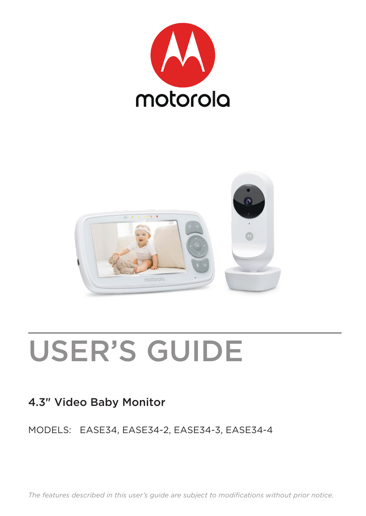



# USER'S GUIDE

#### 4.3" Video Baby Monitor

#### MODELS: EASE34, EASE34-2, EASE34-3, EASE34-4

*The features described in this user's guide are subject to modifications without prior notice.*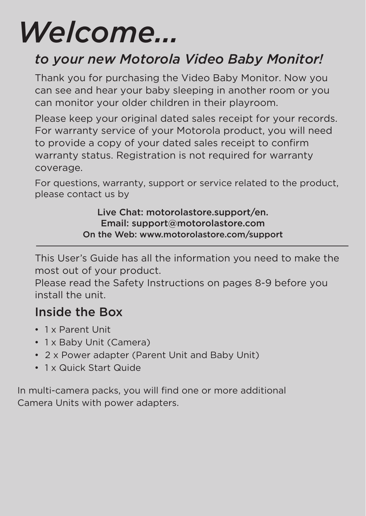# *Welcome...*

### *to your new Motorola Video Baby Monitor!*

Thank you for purchasing the Video Baby Monitor. Now you can see and hear your baby sleeping in another room or you can monitor your older children in their playroom.

Please keep your original dated sales receipt for your records. For warranty service of your Motorola product, you will need to provide a copy of your dated sales receipt to confirm warranty status. Registration is not required for warranty coverage.

For questions, warranty, support or service related to the product, please contact us by

> Live Chat: motorolastore.support/en. Email: support@motorolastore.com On the Web: www.motorolastore.com/support

This User's Guide has all the information you need to make the most out of your product.

Please read the Safety Instructions on pages 8-9 before you install the unit.

### Inside the Box

- 1 x Parent Unit
- 1 x Baby Unit (Camera)
- 2 x Power adapter (Parent Unit and Baby Unit)
- 1 x Quick Start Quide

In multi-camera packs, you will find one or more additional Camera Units with power adapters.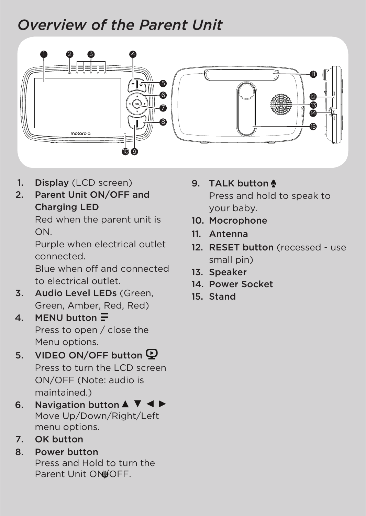### *Overview of the Parent Unit*



- 1. Display (LCD screen)
- 2. Parent Unit ON/OFF and Charging LED

Red when the parent unit is ON.

Purple when electrical outlet connected.

Blue when off and connected to electrical outlet.

- 3. Audio Level LEDs (Green, Green, Amber, Red, Red)
- 4. MENU button  $\equiv$ Press to open / close the Menu options.
- 5. VIDEO ON/OFF button Press to turn the LCD screen ON/OFF (Note: audio is maintained.)
- 6. Navigation button  $\blacktriangle \blacktriangledown \blacktriangle \blacktriangleright$ Move Up/Down/Right/Left menu options.
- 7. OK button
- 8. Power button Press and Hold to turn the Parent Unit ON UOFF.
- 9. TALK button Press and hold to speak to your baby.
- 10. Mocrophone
- 11. Antenna
- 12. RESET button (recessed use) small pin)
- 13. Speaker
- 14. Power Socket
- 15. Stand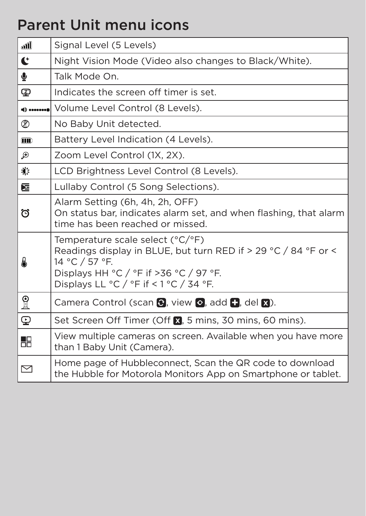### Parent Unit menu icons

| ூ          | Signal Level (5 Levels)                                                                                                                                                                                                                      |  |
|------------|----------------------------------------------------------------------------------------------------------------------------------------------------------------------------------------------------------------------------------------------|--|
| ť          | Night Vision Mode (Video also changes to Black/White).                                                                                                                                                                                       |  |
| ⊻          | Talk Mode On.                                                                                                                                                                                                                                |  |
| Φ          | Indicates the screen off timer is set.                                                                                                                                                                                                       |  |
|            | <b>O</b> Volume Level Control (8 Levels).                                                                                                                                                                                                    |  |
| ∞          | No Baby Unit detected.                                                                                                                                                                                                                       |  |
| <b>THD</b> | Battery Level Indication (4 Levels).                                                                                                                                                                                                         |  |
| Ð          | Zoom Level Control (1X, 2X).                                                                                                                                                                                                                 |  |
| 心          | LCD Brightness Level Control (8 Levels).                                                                                                                                                                                                     |  |
| 囩          | Lullaby Control (5 Song Selections).                                                                                                                                                                                                         |  |
| ö          | Alarm Setting (6h, 4h, 2h, OFF)<br>On status bar, indicates alarm set, and when flashing, that alarm<br>time has been reached or missed.                                                                                                     |  |
| A          | Temperature scale select (°C/°F)<br>Readings display in BLUE, but turn RED if > 29 °C / 84 °F or <<br>14 °C / 57 °F.<br>Displays HH $\degree$ C / $\degree$ F if >36 $\degree$ C / 97 $\degree$ F.<br>Displays LL °C / °F if < 1 °C / 34 °F. |  |
| $_{\rm R}$ | Camera Control (scan C, view o, add +, del x).                                                                                                                                                                                               |  |
| ⊕          | Set Screen Off Timer (Off M, 5 mins, 30 mins, 60 mins).                                                                                                                                                                                      |  |
| 品          | View multiple cameras on screen. Available when you have more<br>than 1 Baby Unit (Camera).                                                                                                                                                  |  |
| 罓          | Home page of Hubbleconnect, Scan the QR code to download<br>the Hubble for Motorola Monitors App on Smartphone or tablet.                                                                                                                    |  |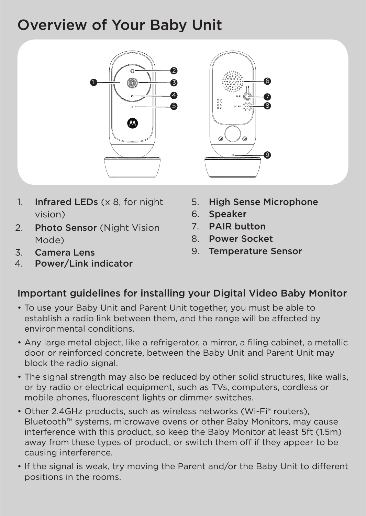### Overview of Your Baby Unit



- 1. Infrared LEDs (x 8, for night vision)
- 2. Photo Sensor (Night Vision Mode)
- 3. Camera Lens
- 4. Power/Link indicator

5. High Sense Microphone

6 7 8

9

- 6. Speaker
- 7. PAIR button
- 8. Power Socket
- 9. Temperature Sensor

#### Important guidelines for installing your Digital Video Baby Monitor

- To use your Baby Unit and Parent Unit together, you must be able to establish a radio link between them, and the range will be affected by environmental conditions.
- Any large metal object, like a refrigerator, a mirror, a filing cabinet, a metallic door or reinforced concrete, between the Baby Unit and Parent Unit may block the radio signal.
- The signal strength may also be reduced by other solid structures, like walls, or by radio or electrical equipment, such as TVs, computers, cordless or mobile phones, fluorescent lights or dimmer switches.
- Other 2.4GHz products, such as wireless networks (Wi-Fi® routers), Bluetooth™ systems, microwave ovens or other Baby Monitors, may cause interference with this product, so keep the Baby Monitor at least 5ft (1.5m) away from these types of product, or switch them off if they appear to be causing interference.
- If the signal is weak, try moving the Parent and/or the Baby Unit to different positions in the rooms.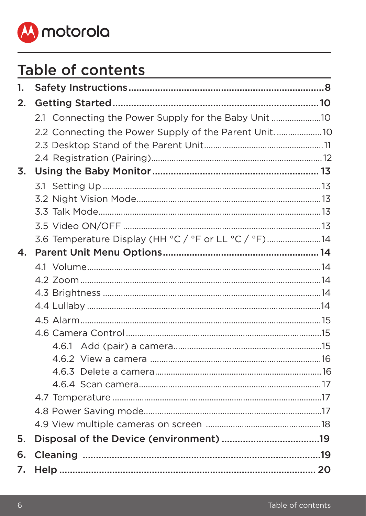

### Table of contents

| 1. |                                                      |  |
|----|------------------------------------------------------|--|
| 2. |                                                      |  |
|    | 2.1 Connecting the Power Supply for the Baby Unit 10 |  |
|    | 2.2 Connecting the Power Supply of the Parent Unit10 |  |
|    |                                                      |  |
|    |                                                      |  |
| 3. |                                                      |  |
|    |                                                      |  |
|    |                                                      |  |
|    |                                                      |  |
|    |                                                      |  |
|    | 3.6 Temperature Display (HH °C / °F or LL °C / °F)14 |  |
| 4. |                                                      |  |
|    |                                                      |  |
|    |                                                      |  |
|    |                                                      |  |
|    |                                                      |  |
|    |                                                      |  |
|    |                                                      |  |
|    |                                                      |  |
|    |                                                      |  |
|    |                                                      |  |
|    |                                                      |  |
|    |                                                      |  |
|    |                                                      |  |
|    |                                                      |  |
| 5. |                                                      |  |
| 6. |                                                      |  |
| 7. |                                                      |  |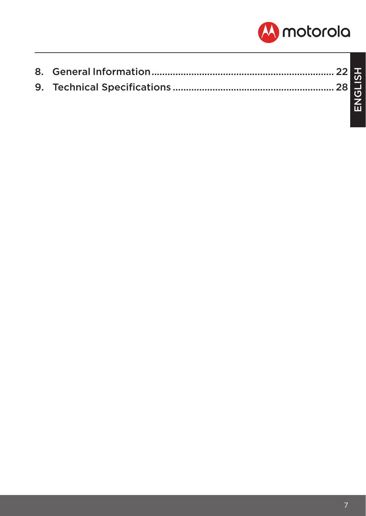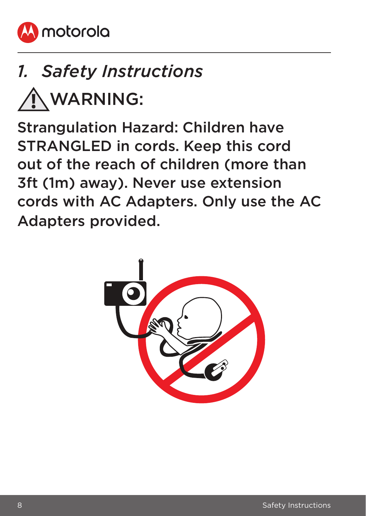<span id="page-7-0"></span>

# *1. Safety Instructions*

WARNING:

Strangulation Hazard: Children have STRANGLED in cords. Keep this cord out of the reach of children (more than 3ft (1m) away). Never use extension cords with AC Adapters. Only use the AC Adapters provided.

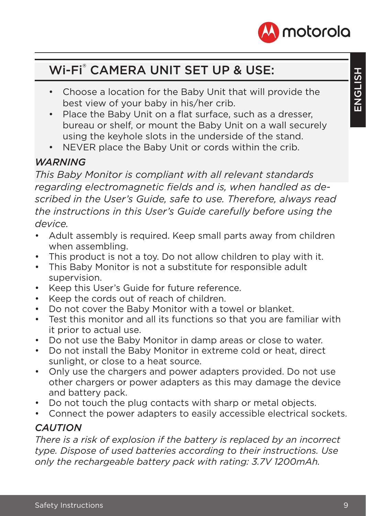

### Wi-Fi® CAMERA UNIT SET UP & USE:

- Choose a location for the Baby Unit that will provide the best view of your baby in his/her crib.
- Place the Baby Unit on a flat surface, such as a dresser, bureau or shelf, or mount the Baby Unit on a wall securely using the keyhole slots in the underside of the stand.
- NEVER place the Baby Unit or cords within the crib.

#### *WARNING*

*This Baby Monitor is compliant with all relevant standards regarding electromagnetic fields and is, when handled as described in the User's Guide, safe to use. Therefore, always read the instructions in this User's Guide carefully before using the device.*

- Adult assembly is required. Keep small parts away from children when assembling.
- This product is not a toy. Do not allow children to play with it.
- This Baby Monitor is not a substitute for responsible adult supervision.
- Keep this User's Guide for future reference.
- Keep the cords out of reach of children.
- Do not cover the Baby Monitor with a towel or blanket.
- Test this monitor and all its functions so that you are familiar with it prior to actual use.
- Do not use the Baby Monitor in damp areas or close to water.
- Do not install the Baby Monitor in extreme cold or heat, direct sunlight, or close to a heat source.
- Only use the chargers and power adapters provided. Do not use other chargers or power adapters as this may damage the device and battery pack.
- Do not touch the plug contacts with sharp or metal objects.
- Connect the power adapters to easily accessible electrical sockets.

#### *CAUTION*

*There is a risk of explosion if the battery is replaced by an incorrect type. Dispose of used batteries according to their instructions. Use only the rechargeable battery pack with rating: 3.7V 1200mAh.*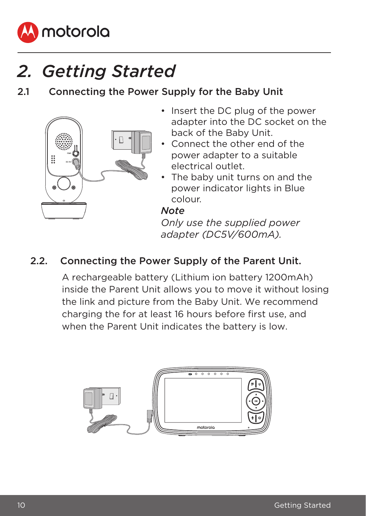<span id="page-9-0"></span>

### *2. Getting Started*

2.1 Connecting the Power Supply for the Baby Unit



- Insert the DC plug of the power adapter into the DC socket on the back of the Baby Unit.
- Connect the other end of the power adapter to a suitable electrical outlet.
- The baby unit turns on and the power indicator lights in Blue colour.

#### *Note*

*Only use the supplied power adapter (DC5V/600mA).*

#### 2.2. Connecting the Power Supply of the Parent Unit.

A rechargeable battery (Lithium ion battery 1200mAh) inside the Parent Unit allows you to move it without losing the link and picture from the Baby Unit. We recommend charging the for at least 16 hours before first use, and when the Parent Unit indicates the battery is low.

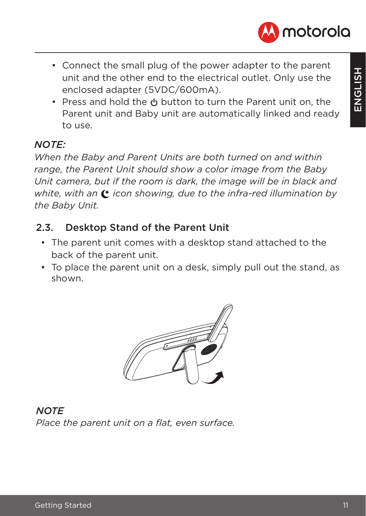

- <span id="page-10-0"></span>• Connect the small plug of the power adapter to the parent unit and the other end to the electrical outlet. Only use the enclosed adapter (5VDC/600mA).
- Press and hold the  $\psi$  button to turn the Parent unit on, the Parent unit and Baby unit are automatically linked and ready to use.

#### *NOTE:*

*When the Baby and Parent Units are both turned on and within range, the Parent Unit should show a color image from the Baby Unit camera, but if the room is dark, the image will be in black and white, with an*  $\mathbf{C}$  *icon showing, due to the infra-red illumination by the Baby Unit.*

#### 2.3. Desktop Stand of the Parent Unit

- The parent unit comes with a desktop stand attached to the back of the parent unit.
- To place the parent unit on a desk, simply pull out the stand, as shown.



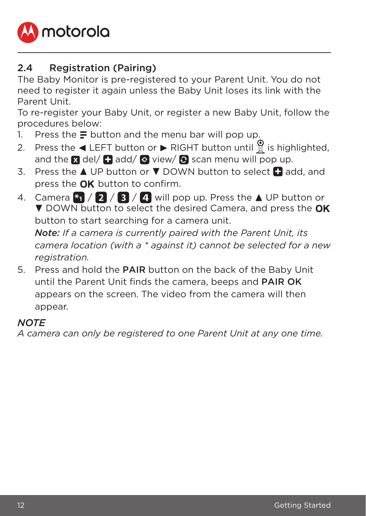<span id="page-11-0"></span>

#### 2.4 Registration (Pairing)

The Baby Monitor is pre-registered to your Parent Unit. You do not need to register it again unless the Baby Unit loses its link with the Parent Unit.

To re-register your Baby Unit, or register a new Baby Unit, follow the procedures below:

- 1. Press the  $\equiv$  button and the menu bar will pop up.
- 2. Press the  $\triangleleft$  LEFT button or  $\triangleright$  RIGHT button until is highlighted. and the  $\blacksquare$  del/  $\blacksquare$  add/  $\heartsuit$  view/  $\heartsuit$  scan menu will pop up.
- 3. Press the  $\triangle$  UP button or  $\nabla$  DOWN button to select  $\Box$  add, and press the  $\alpha$ K button to confirm.
- 4. Camera  $*_{1}$  / 2 / 3 / 4 will pop up. Press the  $\triangle$  UP button or DOWN button to select the desired Camera, and press the OK button to start searching for a camera unit.

*Note: If a camera is currently paired with the Parent Unit, its camera location (with a \* against it) cannot be selected for a new registration.*

5. Press and hold the PAIR button on the back of the Baby Unit until the Parent Unit finds the camera, beeps and PAIR OK appears on the screen. The video from the camera will then appear.

#### *NOTE*

*A camera can only be registered to one Parent Unit at any one time.*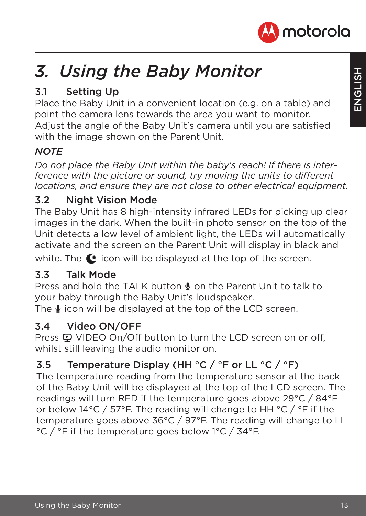

# <span id="page-12-0"></span>*3. Using the Baby Monitor*

#### 3.1 Setting Up

Place the Baby Unit in a convenient location (e.g. on a table) and point the camera lens towards the area you want to monitor. Adjust the angle of the Baby Unit's camera until you are satisfied with the image shown on the Parent Unit.

#### *NOTE*

*Do not place the Baby Unit within the baby's reach! If there is interference with the picture or sound, try moving the units to different locations, and ensure they are not close to other electrical equipment.*

#### 3.2 Night Vision Mode

The Baby Unit has 8 high-intensity infrared LEDs for picking up clear images in the dark. When the built-in photo sensor on the top of the Unit detects a low level of ambient light, the LEDs will automatically activate and the screen on the Parent Unit will display in black and

white. The  $\bullet$  icon will be displayed at the top of the screen.

#### 3.3 Talk Mode

Press and hold the TALK button  $\blacklozenge$  on the Parent Unit to talk to your baby through the Baby Unit's loudspeaker.

The  $\bullet$  icon will be displayed at the top of the LCD screen.

#### 3.4 Video ON/OFF

Press  $\mathbf{\mathcal{Q}}$  VIDEO On/Off button to turn the LCD screen on or off, whilst still leaving the audio monitor on.

#### 3.5 Temperature Display (HH  $\degree$ C /  $\degree$ F or LL  $\degree$ C /  $\degree$ F)

The temperature reading from the temperature sensor at the back of the Baby Unit will be displayed at the top of the LCD screen. The readings will turn RED if the temperature goes above 29°C / 84°F or below 14°C / 57°F. The reading will change to HH °C / °F if the temperature goes above 36°C / 97°F. The reading will change to LL °C / °F if the temperature goes below 1°C / 34°F.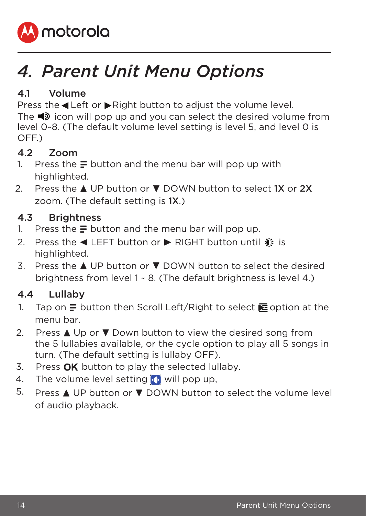<span id="page-13-0"></span>

# *4. Parent Unit Menu Options*

#### 4.1 Volume

Press the <Left or  $\blacktriangleright$  Right button to adjust the volume level. The  $\triangleleft$  icon will pop up and you can select the desired volume from level 0~8. (The default volume level setting is level 5, and level 0 is OFF.)

#### 4.2 Zoom

- 1. Press the  $\equiv$  button and the menu bar will pop up with highlighted.
- 2. Press the  $\triangle$  UP button or  $\nabla$  DOWN button to select 1X or 2X zoom. (The default setting is 1X.)

#### 4.3 Brightness

- 1. Press the  $\equiv$  button and the menu bar will pop up.
- 2. Press the ◀ LEFT button or ▶ RIGHT button until  $\hat{\mathbf{w}}$  is highlighted.
- 3. Press the  $\triangle$  UP button or  $\nabla$  DOWN button to select the desired brightness from level 1 ~ 8. (The default brightness is level 4.)

#### 4.4 Lullaby

- 1. Tap on  $\equiv$  button then Scroll Left/Right to select  $\equiv$  option at the menu bar.
- 2. Press  $\triangle$  Up or  $\nabla$  Down button to view the desired song from the 5 lullabies available, or the cycle option to play all 5 songs in turn. (The default setting is lullaby OFF).
- 3. Press  $OK$  button to play the selected lullaby.
- 4. The volume level setting  $\bigcap$  will pop up,
- 5. Press  $\triangle$  UP button or  $\nabla$  DOWN button to select the volume level of audio playback.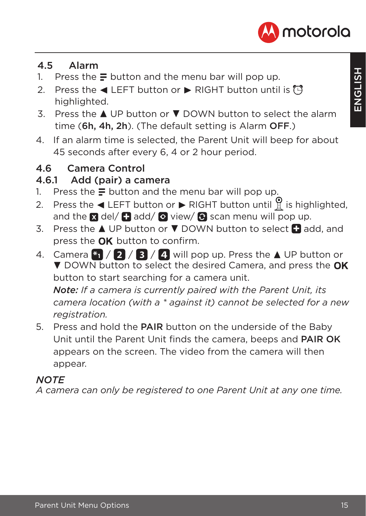

#### <span id="page-14-0"></span>4.5 Alarm

- 1. Press the  $\equiv$  button and the menu bar will pop up.
- 2. Press the  $\blacktriangleleft$  LEFT button or  $\blacktriangleright$  RIGHT button until is  $\widehat{P}$ highlighted.
- 3. Press the  $\triangle$  UP button or  $\nabla$  DOWN button to select the alarm time (6h, 4h, 2h). (The default setting is Alarm OFF.)
- 4. If an alarm time is selected, the Parent Unit will beep for about 45 seconds after every 6, 4 or 2 hour period.

#### 4.6 Camera Control

#### 4.6.1 Add (pair) a camera

- 1. Press the  $\equiv$  button and the menu bar will pop up.
- 2. Press the  $\blacktriangleleft$  LEFT button or  $\blacktriangleright$  RIGHT button until  $\frac{1}{2}$  is highlighted, and the  $\boxtimes$  del/  $\Box$  add/  $\odot$  view/  $\odot$  scan menu will pop up.
- 3. Press the  $\triangle$  UP button or  $\nabla$  DOWN button to select  $\Box$  add, and press the  $\alpha$ K button to confirm.
- 4. Camera  $*$   $\frac{1}{2}$  /  $\frac{1}{3}$  /  $\frac{1}{4}$  will pop up. Press the  $\Delta$  UP button or **V** DOWN button to select the desired Camera, and press the OK button to start searching for a camera unit.

*Note: If a camera is currently paired with the Parent Unit, its camera location (with a \* against it) cannot be selected for a new registration.*

5. Press and hold the PAIR button on the underside of the Baby Unit until the Parent Unit finds the camera, beeps and PAIR OK appears on the screen. The video from the camera will then appear.

#### *NOTE*

*A camera can only be registered to one Parent Unit at any one time.*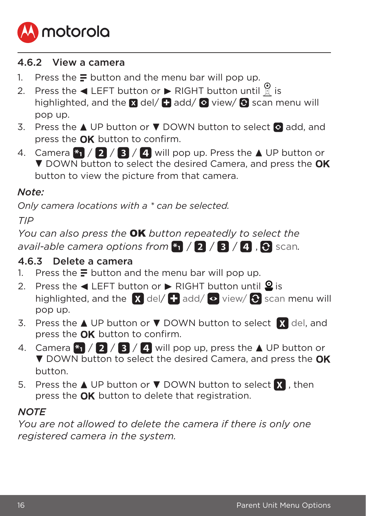<span id="page-15-0"></span>

#### 4.6.2 View a camera

- 1. Press the  $\equiv$  button and the menu bar will pop up.
- 2. Press the  $\blacktriangleleft$  LEFT button or  $\blacktriangleright$  RIGHT button until **i** is highlighted, and the  $\Omega$  del/  $\Omega$  add/  $\Omega$  view/  $\Omega$  scan menu will pop up.
- 3. Press the  $\triangle$  UP button or  $\nabla$  DOWN button to select  $\Omega$  add, and press the  $\overline{OK}$  button to confirm.
- 4. Camera  $*_{1}$  / 2 / 3 / 4 will pop up. Press the  $\triangle$  UP button or **V** DOWN button to select the desired Camera, and press the OK button to view the picture from that camera.

#### *Note:*

*Only camera locations with a \* can be selected.*

*TIP* 

*You can also press the* OK *button repeatedly to select the avail-able camera options from*  $\binom{n}{1}$  / **2** / **3** / **4** . **9** scan.

#### 4.6.3 Delete a camera

- 1. Press the  $\equiv$  button and the menu bar will pop up.
- 2. Press the  $\triangleleft$  LEFT button or  $\triangleright$  RIGHT button until  $\triangleq$  is highlighted, and the  $\bar{X}$  del/  $\bar{H}$  add/  $\circ$  view/  $\hat{\circ}$  scan menu will pop up.
- 3. Press the  $\triangle$  UP button or  $\nabla$  DOWN button to select  $\sum$  del, and press the  $\alpha$ K button to confirm.
- 4. Camera  $\frac{1}{2}$  /  $\frac{1}{2}$  /  $\frac{1}{4}$  will pop up, press the  $\triangle$  UP button or DOWN button to select the desired Camera, and press the OK button.
- 5. Press the  $\triangle$  UP button or  $\nabla$  DOWN button to select  $\hat{X}$  , then press the  $\overline{OK}$  button to delete that registration.

#### *NOTE*

*You are not allowed to delete the camera if there is only one registered camera in the system.*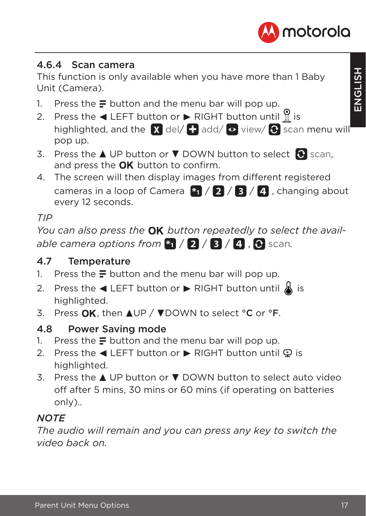

#### <span id="page-16-0"></span>4.6.4 Scan camera

This function is only available when you have more than 1 Baby Unit (Camera).

- 1. Press the  $\equiv$  button and the menu bar will pop up.
- 2. Press the  $\triangleleft$  LEFT button or  $\triangleright$  RIGHT button until  $\stackrel{\circ}{\mathbb{R}}$  is highlighted, and the  $\blacksquare$  del/  $\blacksquare$  add/  $\lozenge$  view/  $\lozenge$  scan menu will pop up.
- 3. Press the  $\triangle$  UP button or  $\nabla$  DOWN button to select  $\bigcirc$  scan, and press the  $\alpha$ K button to confirm.
- 4. The screen will then display images from different registered cameras in a loop of Camera  $\mathbb{F}_1$  /  $\mathbb{R}$  /  $\mathbb{R}$  /  $\mathbb{R}$  , changing about every 12 seconds.

#### *TIP*

*You can also press the OK button repeatedly to select the available camera options from*  $\sqrt[n]{2}/\sqrt[3]{4}$ .  $\Theta$  scan.

#### 4.7 Temperature

- 1. Press the  $\equiv$  button and the menu bar will pop up.
- 2. Press the  $\triangleleft$  LEFT button or  $\triangleright$  RIGHT button until  $\triangleleft$  is highlighted.
- 3. Press  $\overline{OK}$ , then AUP /  $\nabla$ DOWN to select °C or °F.

#### 4.8 Power Saving mode

- 1. Press the  $\equiv$  button and the menu bar will pop up.
- 2. Press the  $\triangleleft$  LEFT button or  $\triangleright$  RIGHT button until  $\heartsuit$  is highlighted.
- 3. Press the  $\triangle$  UP button or  $\nabla$  DOWN button to select auto video off after 5 mins, 30 mins or 60 mins (if operating on batteries only)..

#### *NOTE*

*The audio will remain and you can press any key to switch the video back on.*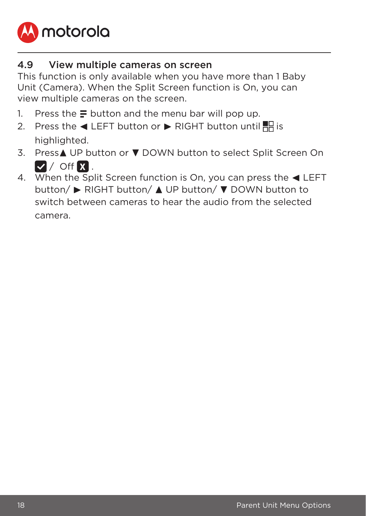<span id="page-17-0"></span>

#### 4.9 View multiple cameras on screen

This function is only available when you have more than 1 Baby Unit (Camera). When the Split Screen function is On, you can view multiple cameras on the screen.

- 1. Press the  $\equiv$  button and the menu bar will pop up.
- 2. Press the  $\blacktriangleleft$  LEFT button or  $\blacktriangleright$  RIGHT button until  $\blacktriangleright$  is highlighted.
- 3. Press▲ UP button or ▼ DOWN button to select Split Screen On  $\triangledown$  / Off  $\Omega$ .
- 4. When the Split Screen function is On, you can press the  $\blacktriangleleft$  LEFT button/ ► RIGHT button/ ▲ UP button/ ▼ DOWN button to switch between cameras to hear the audio from the selected camera.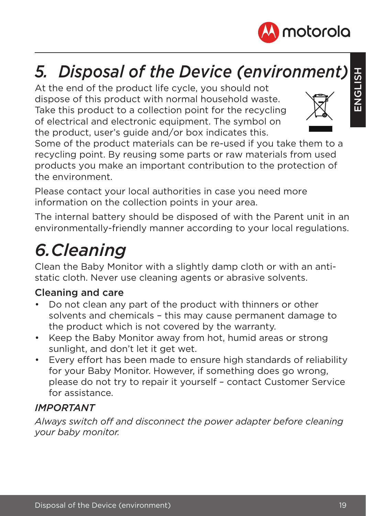

## *5. Disposal of the Device (environment)*

At the end of the product life cycle, you should not dispose of this product with normal household waste. Take this product to a collection point for the recycling of electrical and electronic equipment. The symbol on the product, user's guide and/or box indicates this.



Some of the product materials can be re-used if you take them to a recycling point. By reusing some parts or raw materials from used products you make an important contribution to the protection of the environment.

Please contact your local authorities in case you need more information on the collection points in your area.

The internal battery should be disposed of with the Parent unit in an environmentally-friendly manner according to your local regulations.

# *6. Cleaning*

Clean the Baby Monitor with a slightly damp cloth or with an antistatic cloth. Never use cleaning agents or abrasive solvents.

#### Cleaning and care

- Do not clean any part of the product with thinners or other solvents and chemicals – this may cause permanent damage to the product which is not covered by the warranty.
- Keep the Baby Monitor away from hot, humid areas or strong sunlight, and don't let it get wet.
- Every effort has been made to ensure high standards of reliability for your Baby Monitor. However, if something does go wrong, please do not try to repair it yourself – contact Customer Service for assistance.

#### *IMPORTANT*

*Always switch off and disconnect the power adapter before cleaning your baby monitor.*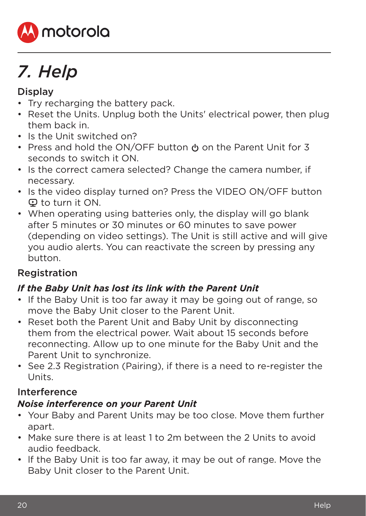

# *7. Help*

#### **Display**

- Try recharging the battery pack.
- Reset the Units. Unplug both the Units' electrical power, then plug them back in.
- Is the Unit switched on?
- Press and hold the ON/OFF button  $\phi$  on the Parent Unit for 3 seconds to switch it ON.
- Is the correct camera selected? Change the camera number, if necessary.
- Is the video display turned on? Press the VIDEO ON/OFF button V to turn it ON.
- When operating using batteries only, the display will go blank after 5 minutes or 30 minutes or 60 minutes to save power (depending on video settings). The Unit is still active and will give you audio alerts. You can reactivate the screen by pressing any button.

#### Registration

#### *If the Baby Unit has lost its link with the Parent Unit*

- If the Baby Unit is too far away it may be going out of range, so move the Baby Unit closer to the Parent Unit.
- Reset both the Parent Unit and Baby Unit by disconnecting them from the electrical power. Wait about 15 seconds before reconnecting. Allow up to one minute for the Baby Unit and the Parent Unit to synchronize.
- See 2.3 Registration (Pairing), if there is a need to re-register the Units.

#### Interference

#### *Noise interference on your Parent Unit*

- Your Baby and Parent Units may be too close. Move them further apart.
- Make sure there is at least 1 to 2m between the 2 Units to avoid audio feedback.
- lf the Baby Unit is too far away, it may be out of range. Move the Baby Unit closer to the Parent Unit.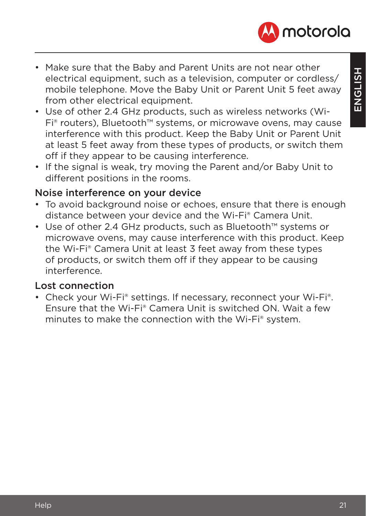



- Make sure that the Baby and Parent Units are not near other electrical equipment, such as a television, computer or cordless/ mobile telephone. Move the Baby Unit or Parent Unit 5 feet away from other electrical equipment.
- Use of other 2.4 GHz products, such as wireless networks (Wi-Fi® routers), Bluetooth™ systems, or microwave ovens, may cause interference with this product. Keep the Baby Unit or Parent Unit at least 5 feet away from these types of products, or switch them off if they appear to be causing interference.
- If the signal is weak, try moving the Parent and/or Baby Unit to different positions in the rooms.

#### Noise interference on your device

- To avoid background noise or echoes, ensure that there is enough distance between your device and the Wi-Fi® Camera Unit.
- Use of other 2.4 GHz products, such as Bluetooth™ systems or microwave ovens, may cause interference with this product. Keep the Wi-Fi® Camera Unit at least 3 feet away from these types of products, or switch them off if they appear to be causing interference.

#### Lost connection

• Check your Wi-Fi® settings. If necessary, reconnect your Wi-Fi®. Ensure that the Wi-Fi® Camera Unit is switched ON. Wait a few minutes to make the connection with the Wi-Fi® system.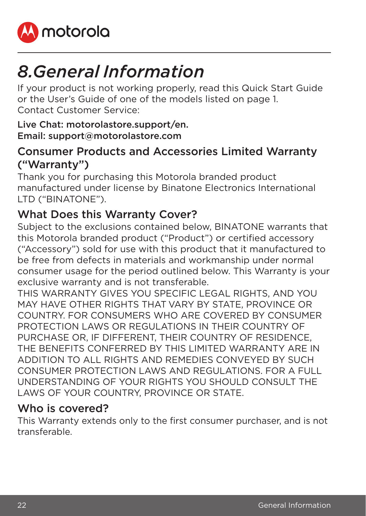

# *8. General Information*

If your product is not working properly, read this Quick Start Guide or the User's Guide of one of the models listed on page 1. Contact Customer Service:

#### Live Chat: motorolastore.support/en. Email: support@motorolastore.com

#### Consumer Products and Accessories Limited Warranty ("Warranty")

Thank you for purchasing this Motorola branded product manufactured under license by Binatone Electronics International LTD ("BINATONE").

#### What Does this Warranty Cover?

Subject to the exclusions contained below, BINATONE warrants that this Motorola branded product ("Product") or certified accessory ("Accessory") sold for use with this product that it manufactured to be free from defects in materials and workmanship under normal consumer usage for the period outlined below. This Warranty is your exclusive warranty and is not transferable.

THIS WARRANTY GIVES YOU SPECIFIC LEGAL RIGHTS, AND YOU MAY HAVE OTHER RIGHTS THAT VARY BY STATE, PROVINCE OR COUNTRY. FOR CONSUMERS WHO ARE COVERED BY CONSUMER PROTECTION LAWS OR REGULATIONS IN THEIR COUNTRY OF PURCHASE OR, IF DIFFERENT, THEIR COUNTRY OF RESIDENCE, THE BENEFITS CONFERRED BY THIS LIMITED WARRANTY ARE IN ADDITION TO ALL RIGHTS AND REMEDIES CONVEYED BY SUCH CONSUMER PROTECTION LAWS AND REGULATIONS. FOR A FULL UNDERSTANDING OF YOUR RIGHTS YOU SHOULD CONSULT THE LAWS OF YOUR COUNTRY, PROVINCE OR STATE.

#### Who is covered?

This Warranty extends only to the first consumer purchaser, and is not transferable.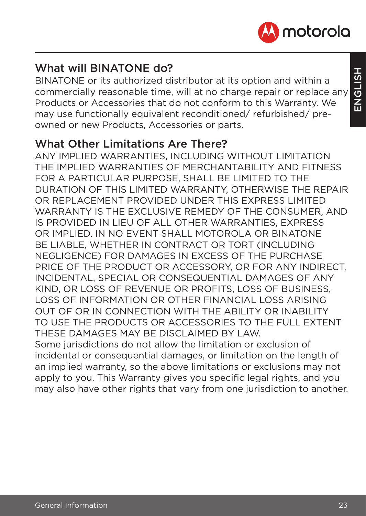

#### What will **BINATONE** do?

BINATONE or its authorized distributor at its option and within a commercially reasonable time, will at no charge repair or replace any Products or Accessories that do not conform to this Warranty. We may use functionally equivalent reconditioned/ refurbished/ preowned or new Products, Accessories or parts.

#### What Other Limitations Are There?

ANY IMPLIED WARRANTIES, INCLUDING WITHOUT LIMITATION THE IMPLIED WARRANTIES OF MERCHANTABILITY AND FITNESS FOR A PARTICULAR PURPOSE, SHALL BE LIMITED TO THE DURATION OF THIS LIMITED WARRANTY, OTHERWISE THE REPAIR OR REPLACEMENT PROVIDED UNDER THIS EXPRESS LIMITED WARRANTY IS THE EXCLUSIVE REMEDY OF THE CONSUMER, AND IS PROVIDED IN LIEU OF ALL OTHER WARRANTIES, EXPRESS OR IMPLIED. IN NO EVENT SHALL MOTOROLA OR BINATONE BE LIABLE, WHETHER IN CONTRACT OR TORT (INCLUDING NEGLIGENCE) FOR DAMAGES IN EXCESS OF THE PURCHASE PRICE OF THE PRODUCT OR ACCESSORY, OR FOR ANY INDIRECT, INCIDENTAL, SPECIAL OR CONSEQUENTIAL DAMAGES OF ANY KIND, OR LOSS OF REVENUE OR PROFITS, LOSS OF BUSINESS, LOSS OF INFORMATION OR OTHER FINANCIAL LOSS ARISING OUT OF OR IN CONNECTION WITH THE ABILITY OR INABILITY TO USE THE PRODUCTS OR ACCESSORIES TO THE FULL EXTENT THESE DAMAGES MAY BE DISCLAIMED BY LAW. Some jurisdictions do not allow the limitation or exclusion of

incidental or consequential damages, or limitation on the length of an implied warranty, so the above limitations or exclusions may not apply to you. This Warranty gives you specific legal rights, and you may also have other rights that vary from one jurisdiction to another.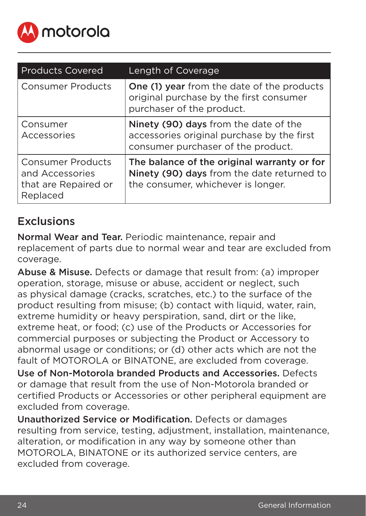

| <b>Products Covered</b>                                                  | Length of Coverage                                                                                                              |
|--------------------------------------------------------------------------|---------------------------------------------------------------------------------------------------------------------------------|
| <b>Consumer Products</b>                                                 | One (1) year from the date of the products<br>original purchase by the first consumer<br>purchaser of the product.              |
| Consumer<br>Accessories                                                  | Ninety (90) days from the date of the<br>accessories original purchase by the first<br>consumer purchaser of the product.       |
| Consumer Products<br>and Accessories<br>that are Repaired or<br>Replaced | The balance of the original warranty or for<br>Ninety (90) days from the date returned to<br>the consumer, whichever is longer. |

#### Exclusions

Normal Wear and Tear. Periodic maintenance, repair and replacement of parts due to normal wear and tear are excluded from coverage.

Abuse & Misuse. Defects or damage that result from: (a) improper operation, storage, misuse or abuse, accident or neglect, such as physical damage (cracks, scratches, etc.) to the surface of the product resulting from misuse; (b) contact with liquid, water, rain, extreme humidity or heavy perspiration, sand, dirt or the like, extreme heat, or food; (c) use of the Products or Accessories for commercial purposes or subjecting the Product or Accessory to abnormal usage or conditions; or (d) other acts which are not the fault of MOTOROLA or BINATONE, are excluded from coverage.

Use of Non-Motorola branded Products and Accessories. Defects or damage that result from the use of Non-Motorola branded or certified Products or Accessories or other peripheral equipment are excluded from coverage.

Unauthorized Service or Modification. Defects or damages resulting from service, testing, adjustment, installation, maintenance, alteration, or modification in any way by someone other than MOTOROLA, BINATONE or its authorized service centers, are excluded from coverage.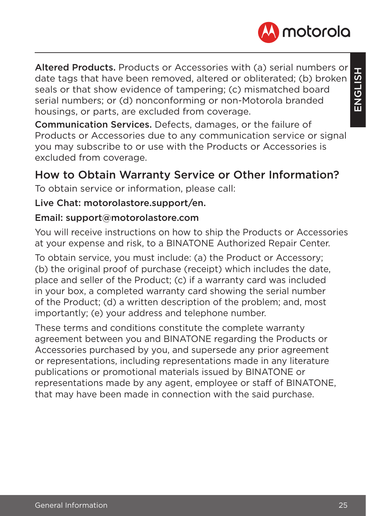

Altered Products. Products or Accessories with (a) serial numbers or date tags that have been removed, altered or obliterated; (b) broken seals or that show evidence of tampering; (c) mismatched board serial numbers; or (d) nonconforming or non-Motorola branded housings, or parts, are excluded from coverage.

Communication Services. Defects, damages, or the failure of Products or Accessories due to any communication service or signal you may subscribe to or use with the Products or Accessories is excluded from coverage.

#### How to Obtain Warranty Service or Other Information?

To obtain service or information, please call:

#### Live Chat: motorolastore.support/en.

#### Email: support@motorolastore.com

You will receive instructions on how to ship the Products or Accessories at your expense and risk, to a BINATONE Authorized Repair Center.

To obtain service, you must include: (a) the Product or Accessory; (b) the original proof of purchase (receipt) which includes the date, place and seller of the Product; (c) if a warranty card was included in your box, a completed warranty card showing the serial number of the Product; (d) a written description of the problem; and, most importantly; (e) your address and telephone number.

These terms and conditions constitute the complete warranty agreement between you and BINATONE regarding the Products or Accessories purchased by you, and supersede any prior agreement or representations, including representations made in any literature publications or promotional materials issued by BINATONE or representations made by any agent, employee or staff of BINATONE, that may have been made in connection with the said purchase.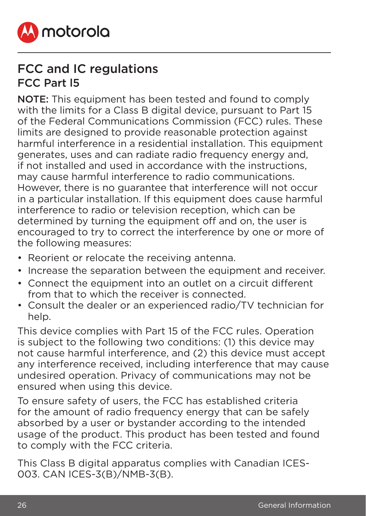

### FCC and IC regulations FCC Part l5

NOTE: This equipment has been tested and found to comply with the limits for a Class B digital device, pursuant to Part 15 of the Federal Communications Commission (FCC) rules. These limits are designed to provide reasonable protection against harmful interference in a residential installation. This equipment generates, uses and can radiate radio frequency energy and, if not installed and used in accordance with the instructions, may cause harmful interference to radio communications. However, there is no guarantee that interference will not occur in a particular installation. If this equipment does cause harmful interference to radio or television reception, which can be determined by turning the equipment off and on, the user is encouraged to try to correct the interference by one or more of the following measures:

- Reorient or relocate the receiving antenna.
- Increase the separation between the equipment and receiver.
- Connect the equipment into an outlet on a circuit different from that to which the receiver is connected.
- Consult the dealer or an experienced radio/TV technician for help.

This device complies with Part 15 of the FCC rules. Operation is subject to the following two conditions: (1) this device may not cause harmful interference, and (2) this device must accept any interference received, including interference that may cause undesired operation. Privacy of communications may not be ensured when using this device.

To ensure safety of users, the FCC has established criteria for the amount of radio frequency energy that can be safely absorbed by a user or bystander according to the intended usage of the product. This product has been tested and found to comply with the FCC criteria.

This Class B digital apparatus complies with Canadian ICES-003. CAN ICES-3(B)/NMB-3(B).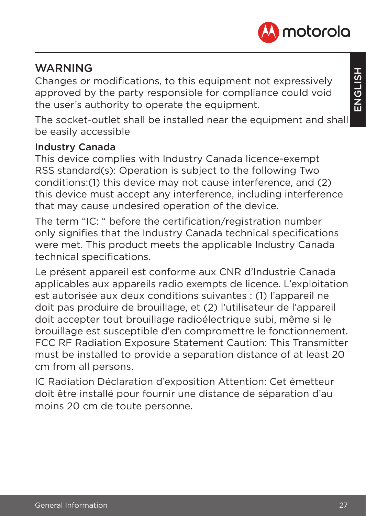

#### **WARNING**

Changes or modifications, to this equipment not expressively approved by the party responsible for compliance could void the user's authority to operate the equipment.

The socket-outlet shall be installed near the equipment and shall be easily accessible

#### Industry Canada

This device complies with Industry Canada licence-exempt RSS standard(s): Operation is subject to the following Two conditions:(1) this device may not cause interference, and (2) this device must accept any interference, including interference that may cause undesired operation of the device.

The term "IC: " before the certification/registration number only signifies that the Industry Canada technical specifications were met. This product meets the applicable Industry Canada technical specifications.

Le présent appareil est conforme aux CNR d'Industrie Canada applicables aux appareils radio exempts de licence. L'exploitation est autorisée aux deux conditions suivantes : (1) l'appareil ne doit pas produire de brouillage, et (2) l'utilisateur de l'appareil doit accepter tout brouillage radioélectrique subi, même si le brouillage est susceptible d'en compromettre le fonctionnement. FCC RF Radiation Exposure Statement Caution: This Transmitter must be installed to provide a separation distance of at least 20 cm from all persons.

IC Radiation Déclaration d'exposition Attention: Cet émetteur doit être installé pour fournir une distance de séparation d'au moins 20 cm de toute personne.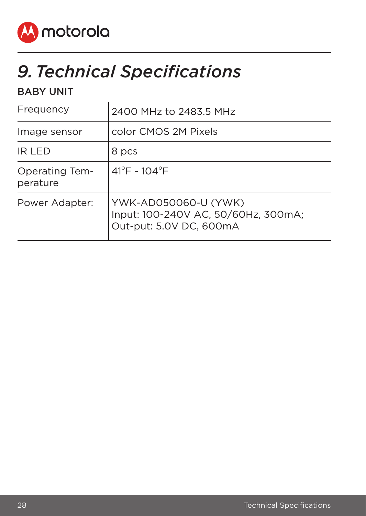

# *9. Technical Specifications*

#### BABY UNIT

| Frequency                  | 2400 MHz to 2483.5 MHz                                                                 |
|----------------------------|----------------------------------------------------------------------------------------|
| Image sensor               | color CMOS 2M Pixels                                                                   |
| IR LED                     | 8 pcs                                                                                  |
| Operating Tem-<br>perature | $41^{\circ}$ F - 104 $^{\circ}$ F                                                      |
| Power Adapter:             | YWK-AD050060-U (YWK)<br>Input: 100-240V AC, 50/60Hz, 300mA;<br>Out-put: 5.0V DC, 600mA |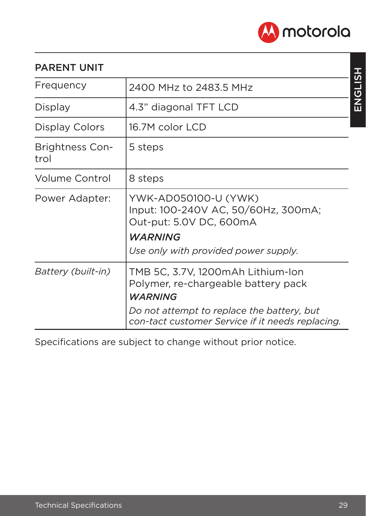

#### PARENT UNIT

| Frequency                      | 2400 MHz to 2483.5 MHz                                                                                                                                                                       |
|--------------------------------|----------------------------------------------------------------------------------------------------------------------------------------------------------------------------------------------|
| Display                        | 4.3" diagonal TFT LCD                                                                                                                                                                        |
| Display Colors                 | 16.7M color LCD                                                                                                                                                                              |
| <b>Brightness Con-</b><br>trol | 5 steps                                                                                                                                                                                      |
| Volume Control                 | 8 steps                                                                                                                                                                                      |
| Power Adapter:                 | YWK-AD050100-U (YWK)<br>Input: 100-240V AC, 50/60Hz, 300mA;<br>Out-put: 5.0V DC, 600mA<br><b>WARNING</b><br>Use only with provided power supply.                                             |
| Battery (built-in)             | TMB 5C, 3.7V, 1200mAh Lithium-Ion<br>Polymer, re-chargeable battery pack<br><b>WARNING</b><br>Do not attempt to replace the battery, but<br>con-tact customer Service if it needs replacing. |

Specifications are subject to change without prior notice.